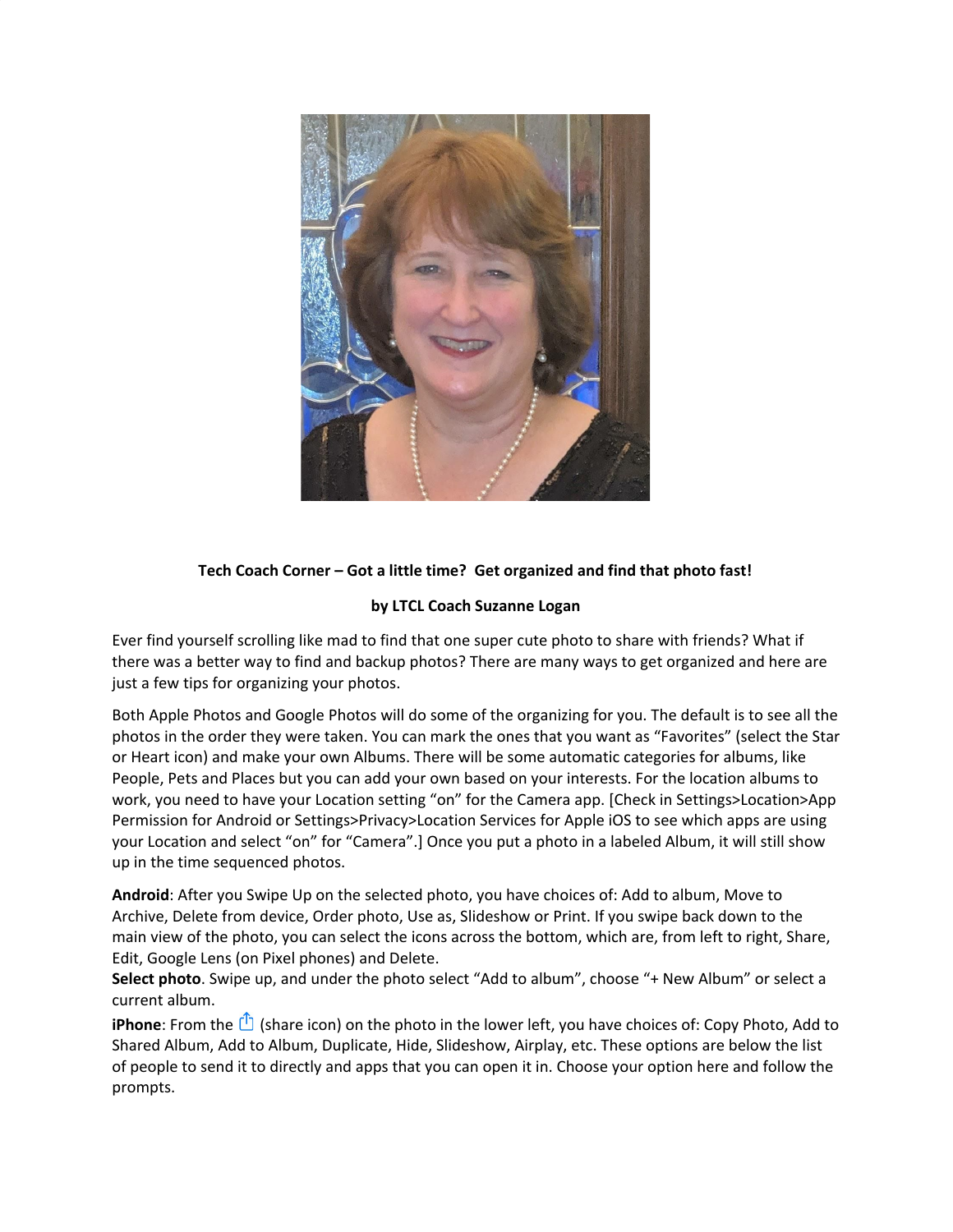

## **Tech Coach Corner – Got a little time? Get organized and find that photo fast!**

## **by LTCL Coach Suzanne Logan**

Ever find yourself scrolling like mad to find that one super cute photo to share with friends? What if there was a better way to find and backup photos? There are many ways to get organized and here are just a few tips for organizing your photos.

Both Apple Photos and Google Photos will do some of the organizing for you. The default is to see all the photos in the order they were taken. You can mark the ones that you want as "Favorites" (select the Star or Heart icon) and make your own Albums. There will be some automatic categories for albums, like People, Pets and Places but you can add your own based on your interests. For the location albums to work, you need to have your Location setting "on" for the Camera app. [Check in Settings>Location>App Permission for Android or Settings>Privacy>Location Services for Apple iOS to see which apps are using your Location and select "on" for "Camera".] Once you put a photo in a labeled Album, it will still show up in the time sequenced photos.

**Android**: After you Swipe Up on the selected photo, you have choices of: Add to album, Move to Archive, Delete from device, Order photo, Use as, Slideshow or Print. If you swipe back down to the main view of the photo, you can select the icons across the bottom, which are, from left to right, Share, Edit, Google Lens (on Pixel phones) and Delete.

**Select photo**. Swipe up, and under the photo select "Add to album", choose "+ New Album" or select a current album.

**iPhone**: From the  $\Box$  (share icon) on the photo in the lower left, you have choices of: Copy Photo, Add to Shared Album, Add to Album, Duplicate, Hide, Slideshow, Airplay, etc. These options are below the list of people to send it to directly and apps that you can open it in. Choose your option here and follow the prompts.